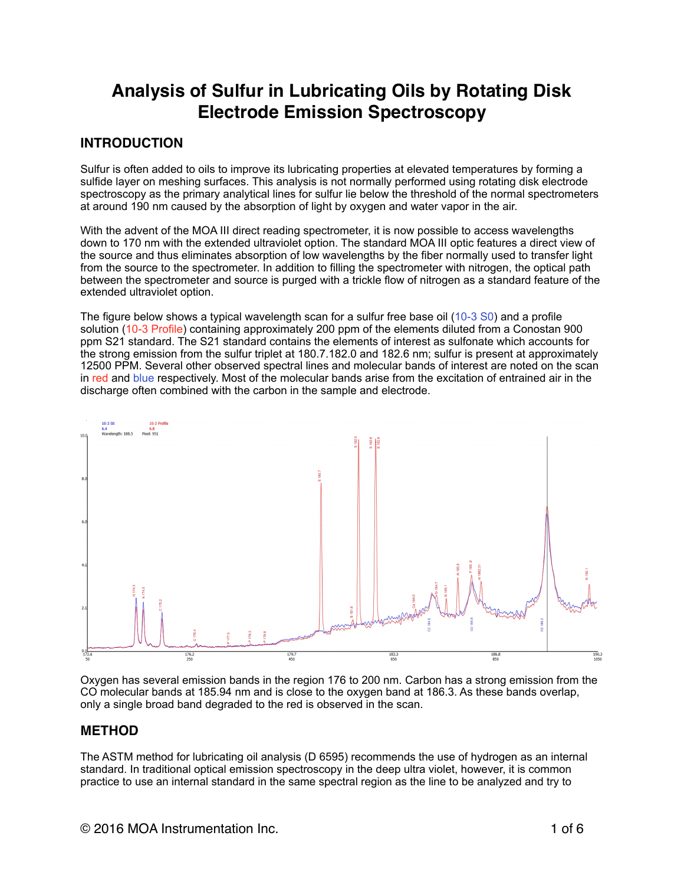# **Analysis of Sulfur in Lubricating Oils by Rotating Disk Electrode Emission Spectroscopy**

# **INTRODUCTION**

Sulfur is often added to oils to improve its lubricating properties at elevated temperatures by forming a sulfide layer on meshing surfaces. This analysis is not normally performed using rotating disk electrode spectroscopy as the primary analytical lines for sulfur lie below the threshold of the normal spectrometers at around 190 nm caused by the absorption of light by oxygen and water vapor in the air.

With the advent of the MOA III direct reading spectrometer, it is now possible to access wavelengths down to 170 nm with the extended ultraviolet option. The standard MOA III optic features a direct view of the source and thus eliminates absorption of low wavelengths by the fiber normally used to transfer light from the source to the spectrometer. In addition to filling the spectrometer with nitrogen, the optical path between the spectrometer and source is purged with a trickle flow of nitrogen as a standard feature of the extended ultraviolet option.

The figure below shows a typical wavelength scan for a sulfur free base oil (10-3 S0) and a profile solution (10-3 Profile) containing approximately 200 ppm of the elements diluted from a Conostan 900 ppm S21 standard. The S21 standard contains the elements of interest as sulfonate which accounts for the strong emission from the sulfur triplet at 180.7.182.0 and 182.6 nm; sulfur is present at approximately 12500 PPM. Several other observed spectral lines and molecular bands of interest are noted on the scan in red and blue respectively. Most of the molecular bands arise from the excitation of entrained air in the discharge often combined with the carbon in the sample and electrode.



Oxygen has several emission bands in the region 176 to 200 nm. Carbon has a strong emission from the CO molecular bands at 185.94 nm and is close to the oxygen band at 186.3. As these bands overlap, only a single broad band degraded to the red is observed in the scan.

## **METHOD**

The ASTM method for lubricating oil analysis (D 6595) recommends the use of hydrogen as an internal standard. In traditional optical emission spectroscopy in the deep ultra violet, however, it is common practice to use an internal standard in the same spectral region as the line to be analyzed and try to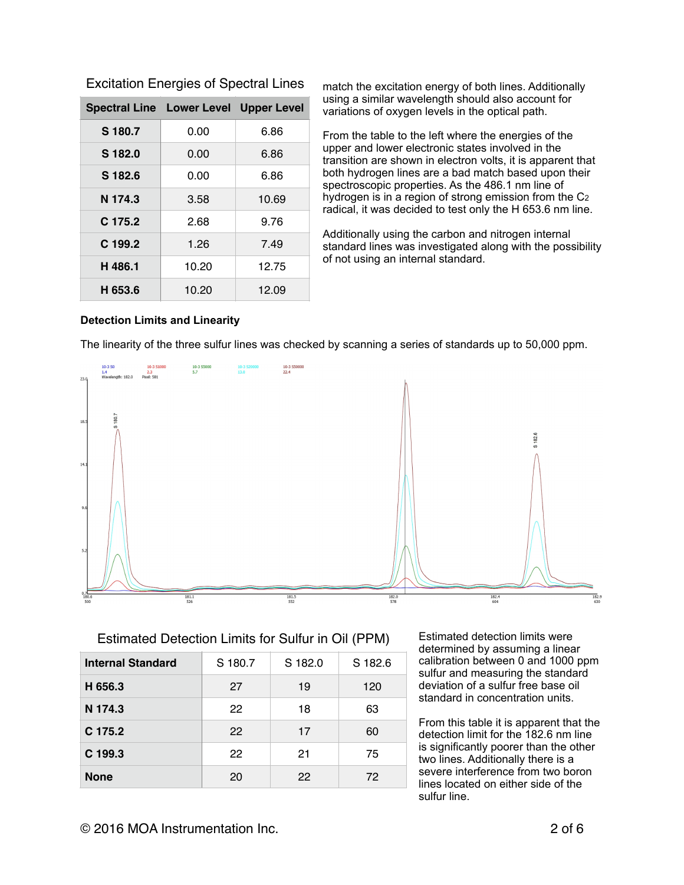| <b>Spectral Line Lower Level Upper Level</b> |       |       |
|----------------------------------------------|-------|-------|
| S 180.7                                      | 0.00  | 6.86  |
| S 182.0                                      | 0.00  | 6.86  |
| S 182.6                                      | 0.00  | 6.86  |
| N 174.3                                      | 3.58  | 10.69 |
| C 175.2                                      | 2.68  | 9.76  |
| C 199.2                                      | 1.26  | 7.49  |
| H 486.1                                      | 10.20 | 12.75 |
| H 653.6                                      | 10.20 | 12.09 |

Excitation Energies of Spectral Lines

match the excitation energy of both lines. Additionally using a similar wavelength should also account for variations of oxygen levels in the optical path.

From the table to the left where the energies of the upper and lower electronic states involved in the transition are shown in electron volts, it is apparent that both hydrogen lines are a bad match based upon their spectroscopic properties. As the 486.1 nm line of hydrogen is in a region of strong emission from the C2 radical, it was decided to test only the H 653.6 nm line.

Additionally using the carbon and nitrogen internal standard lines was investigated along with the possibility of not using an internal standard.

#### **Detection Limits and Linearity**

The linearity of the three sulfur lines was checked by scanning a series of standards up to 50,000 ppm.



#### Estimated Detection Limits for Sulfur in Oil (PPM)

| <b>Internal Standard</b> | S 180.7 | S 182.0 | S 182.6 |  |
|--------------------------|---------|---------|---------|--|
| H 656.3                  | 27      | 19      | 120     |  |
| N 174.3                  | 22      | 18      | 63      |  |
| C 175.2                  | 22      | 17      | 60      |  |
| C 199.3                  | 22      | 21      | 75      |  |
| <b>None</b>              | 20      | 22      | 72      |  |

Estimated detection limits were determined by assuming a linear calibration between 0 and 1000 ppm sulfur and measuring the standard deviation of a sulfur free base oil standard in concentration units.

From this table it is apparent that the detection limit for the 182.6 nm line is significantly poorer than the other two lines. Additionally there is a severe interference from two boron lines located on either side of the sulfur line.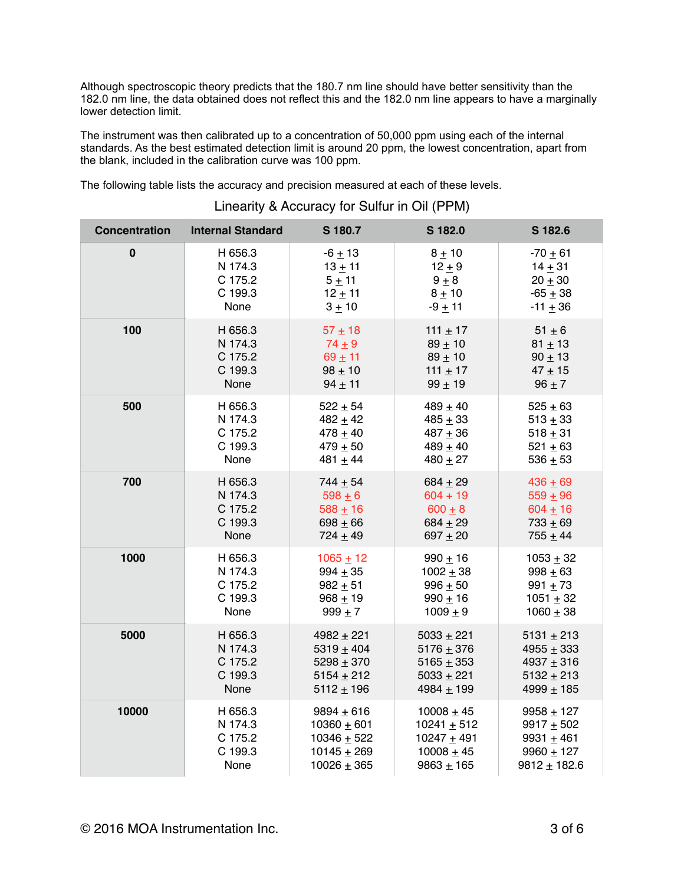Although spectroscopic theory predicts that the 180.7 nm line should have better sensitivity than the 182.0 nm line, the data obtained does not reflect this and the 182.0 nm line appears to have a marginally lower detection limit.

The instrument was then calibrated up to a concentration of 50,000 ppm using each of the internal standards. As the best estimated detection limit is around 20 ppm, the lowest concentration, apart from the blank, included in the calibration curve was 100 ppm.

The following table lists the accuracy and precision measured at each of these levels.

| <b>Concentration</b>                                     | <b>Internal Standard</b>                         | S 180.7                                                            | S 182.0                                                                                                                                       | S 182.6                                                               |  |
|----------------------------------------------------------|--------------------------------------------------|--------------------------------------------------------------------|-----------------------------------------------------------------------------------------------------------------------------------------------|-----------------------------------------------------------------------|--|
| $\bf{0}$                                                 | H 656.3                                          | $-6 + 13$                                                          | $8 + 10$                                                                                                                                      | $-70 + 61$                                                            |  |
|                                                          | N 174.3                                          | $13 + 11$                                                          | $12 + 9$                                                                                                                                      | $14 + 31$                                                             |  |
|                                                          | C 175.2                                          | $5 + 11$                                                           | $9 + 8$                                                                                                                                       | $20 + 30$                                                             |  |
|                                                          | C 199.3                                          | $12 + 11$                                                          | $8 + 10$                                                                                                                                      | $-65 + 38$                                                            |  |
|                                                          | None                                             | $3 + 10$                                                           | $-9 + 11$                                                                                                                                     | $-11 \pm 36$                                                          |  |
| 100                                                      | H 656.3<br>N 174.3<br>C 175.2<br>C 199.3<br>None |                                                                    | $57 + 18$<br>111 $\pm$ 17<br>$74 \pm 9$<br>$89 \pm 10$<br>$69 + 11$<br>$89 \pm 10$<br>$98 + 10$<br>111 $\pm$ 17<br>$99 \pm 19$<br>$94 \pm 11$ |                                                                       |  |
| 500                                                      | H 656.3                                          | $522 \pm 54$                                                       | $489 + 40$                                                                                                                                    | $525 + 63$                                                            |  |
|                                                          | N 174.3                                          | $482 + 42$                                                         | $485 + 33$                                                                                                                                    | $513 + 33$                                                            |  |
|                                                          | C 175.2                                          | $478 + 40$                                                         | $487 + 36$                                                                                                                                    | $518 + 31$                                                            |  |
|                                                          | C 199.3                                          | $479 + 50$                                                         | $489 + 40$                                                                                                                                    | $521 \pm 63$                                                          |  |
|                                                          | None                                             | 481 $\pm$ 44                                                       | $480 + 27$                                                                                                                                    | $536 + 53$                                                            |  |
| 700                                                      | H 656.3                                          | $744 + 54$                                                         | $684 + 29$                                                                                                                                    | $436 + 69$                                                            |  |
|                                                          | N 174.3                                          | $598 + 6$                                                          | $604 + 19$                                                                                                                                    | $559 + 96$                                                            |  |
|                                                          | C 175.2                                          | $588 + 16$                                                         | $600 + 8$                                                                                                                                     | $604 + 16$                                                            |  |
|                                                          | C 199.3                                          | $698 + 66$                                                         | $684 + 29$                                                                                                                                    | $733 + 69$                                                            |  |
|                                                          | None                                             | $724 + 49$                                                         | $697 + 20$                                                                                                                                    | $755 + 44$                                                            |  |
| 1000<br>H 656.3<br>N 174.3<br>C 175.2<br>C 199.3<br>None |                                                  | $1065 + 12$<br>$994 + 35$<br>$982 + 51$<br>$968 + 19$<br>$999 + 7$ | $990 + 16$<br>$1002 + 38$<br>$996 + 50$<br>$990 + 16$<br>$1009 + 9$                                                                           | $1053 + 32$<br>$998 + 63$<br>$991 + 73$<br>$1051 + 32$<br>$1060 + 38$ |  |
| 5000                                                     | H 656.3                                          | $4982 + 221$                                                       | $5033 + 221$                                                                                                                                  | $5131 \pm 213$                                                        |  |
|                                                          | N 174.3                                          | 5319 $\pm$ 404                                                     | $5176 + 376$                                                                                                                                  | $4955 + 333$                                                          |  |
|                                                          | C 175.2                                          | $5298 + 370$                                                       | $5165 \pm 353$                                                                                                                                | 4937 $\pm$ 316                                                        |  |
|                                                          | C 199.3                                          | $5154 \pm 212$                                                     | $5033 + 221$                                                                                                                                  | $5132 + 213$                                                          |  |
|                                                          | None                                             | $5112 \pm 196$                                                     | 4984 $\pm$ 199                                                                                                                                | 4999 $\pm$ 185                                                        |  |
| 10000                                                    | H 656.3                                          |                                                                    | $10008 + 45$                                                                                                                                  | $9958 + 127$                                                          |  |
|                                                          | N 174.3                                          |                                                                    | $10241 \pm 512$                                                                                                                               | $9917 + 502$                                                          |  |
|                                                          | C 175.2                                          |                                                                    | $10247 + 491$                                                                                                                                 | 9931 $\pm$ 461                                                        |  |
|                                                          | C 199.3                                          |                                                                    | $10008 + 45$                                                                                                                                  | 9960 $\pm$ 127                                                        |  |
|                                                          | None                                             |                                                                    | $9863 + 165$                                                                                                                                  | $9812 \pm 182.6$                                                      |  |

#### Linearity & Accuracy for Sulfur in Oil (PPM)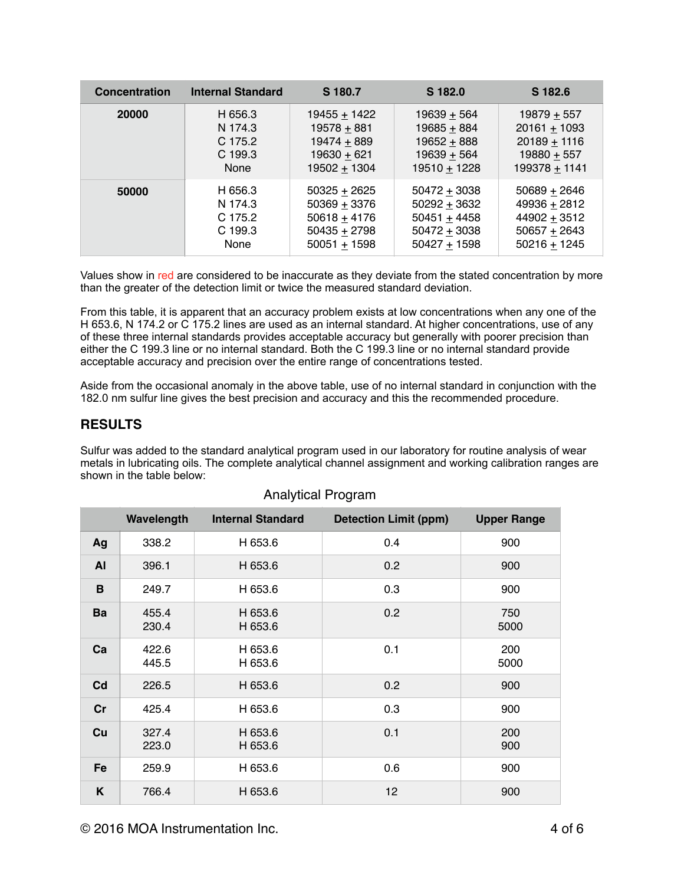| <b>Concentration</b> | <b>Internal Standard</b> |                | S 182.0        | S 182.6         |
|----------------------|--------------------------|----------------|----------------|-----------------|
| 20000                | H 656.3                  | 19455 + 1422   | $19639 + 564$  | 19879 $\pm$ 557 |
|                      | N 174.3                  | $19578 + 881$  | $19685 + 884$  | $20161 + 1093$  |
|                      | C 175.2                  | $19474 + 889$  | 19652 + 888    | $20189 + 1116$  |
|                      | $C$ 199.3                | $19630 + 621$  | $19639 + 564$  | $19880 + 557$   |
|                      | None                     | $19502 + 1304$ | $19510 + 1228$ | 199378 + 1141   |
| 50000                | H 656.3                  | $50325 + 2625$ | $50472 + 3038$ | $50689 + 2646$  |
|                      | N 174.3                  | $50369 + 3376$ | $50292 + 3632$ | $49936 + 2812$  |
|                      | C 175.2                  | $50618 + 4176$ | $50451 + 4458$ | $44902 + 3512$  |
|                      | $C$ 199.3                | $50435 + 2798$ | $50472 + 3038$ | $50657 + 2643$  |
|                      | None                     | $50051 + 1598$ | $50427 + 1598$ | $50216 + 1245$  |

Values show in red are considered to be inaccurate as they deviate from the stated concentration by more than the greater of the detection limit or twice the measured standard deviation.

From this table, it is apparent that an accuracy problem exists at low concentrations when any one of the H 653.6, N 174.2 or C 175.2 lines are used as an internal standard. At higher concentrations, use of any of these three internal standards provides acceptable accuracy but generally with poorer precision than either the C 199.3 line or no internal standard. Both the C 199.3 line or no internal standard provide acceptable accuracy and precision over the entire range of concentrations tested.

Aside from the occasional anomaly in the above table, use of no internal standard in conjunction with the 182.0 nm sulfur line gives the best precision and accuracy and this the recommended procedure.

## **RESULTS**

Sulfur was added to the standard analytical program used in our laboratory for routine analysis of wear metals in lubricating oils. The complete analytical channel assignment and working calibration ranges are shown in the table below:

|                | Wavelength     | <b>Internal Standard</b> | <b>Detection Limit (ppm)</b> | <b>Upper Range</b> |  |
|----------------|----------------|--------------------------|------------------------------|--------------------|--|
| Ag             | 338.2          | H 653.6                  | 0.4                          | 900                |  |
| <b>AI</b>      | 396.1          | H 653.6                  | 0.2                          | 900                |  |
| B              | 249.7          | H 653.6                  | 0.3                          | 900                |  |
| Ba             | 455.4<br>230.4 | H 653.6<br>H 653.6       | 0.2                          | 750<br>5000        |  |
| Ca             | 422.6<br>445.5 | H 653.6<br>H 653.6       | 0.1                          | 200<br>5000        |  |
| C <sub>d</sub> | 226.5          | H 653.6                  | 0.2                          | 900                |  |
| Cr             | 425.4          | H 653.6                  | 0.3                          | 900                |  |
| Cu             | 327.4<br>223.0 | H 653.6<br>H 653.6       | 0.1                          | 200<br>900         |  |
| Fe             | 259.9          | H 653.6                  | 0.6                          | 900                |  |
| K              | 766.4          | H 653.6                  | 12                           | 900                |  |

#### Analytical Program

© 2016 MOA Instrumentation Inc. 4 of 6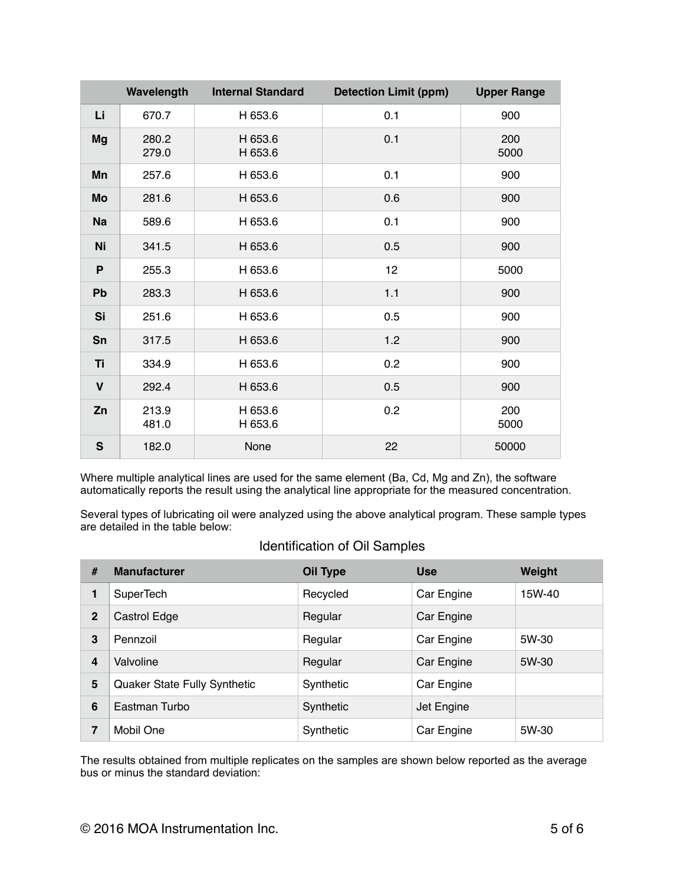|              | Wavelength     | <b>Internal Standard</b> | <b>Detection Limit (ppm)</b> | <b>Upper Range</b> |
|--------------|----------------|--------------------------|------------------------------|--------------------|
| Li           | 670.7          | H 653.6                  | 0.1                          | 900                |
| <b>Mg</b>    | 280.2<br>279.0 | H 653.6<br>H 653.6       | 0.1                          | 200<br>5000        |
| Mn           | 257.6          | H 653.6                  | 0.1                          | 900                |
| Mo           | 281.6          | H 653.6                  | 0.6                          | 900                |
| <b>Na</b>    | 589.6          | H 653.6                  | 0.1                          | 900                |
| Ni           | 341.5          | H 653.6                  | 0.5                          | 900                |
| P            | 255.3          | H 653.6                  | 12                           | 5000               |
| Pb           | 283.3          | H 653.6                  | 1.1                          | 900                |
| Si           | 251.6          | H 653.6                  | 0.5                          | 900                |
| Sn           | 317.5          | H 653.6                  | 1.2                          | 900                |
| <b>Ti</b>    | 334.9          | H 653.6                  | 0.2                          | 900                |
| $\mathbf v$  | 292.4          | H 653.6                  | 0.5                          | 900                |
| Zn           | 213.9<br>481.0 | H 653.6<br>H 653.6       | 0.2                          | 200<br>5000        |
| $\mathsf{s}$ | 182.0          | None                     | 22                           | 50000              |

Where multiple analytical lines are used for the same element (Ba, Cd, Mg and Zn), the software automatically reports the result using the analytical line appropriate for the measured concentration.

Several types of lubricating oil were analyzed using the above analytical program. These sample types are detailed in the table below:

| <b>Identification of Oil Samples</b> |  |  |
|--------------------------------------|--|--|
|--------------------------------------|--|--|

| #              | <b>Manufacturer</b>          | Oil Type  | <b>Use</b> | Weight |
|----------------|------------------------------|-----------|------------|--------|
| 1              | SuperTech                    | Recycled  | Car Engine | 15W-40 |
| $\overline{2}$ | Castrol Edge                 | Regular   | Car Engine |        |
| 3              | Pennzoil                     | Regular   | Car Engine | 5W-30  |
| 4              | Valvoline                    | Regular   | Car Engine | 5W-30  |
| 5              | Quaker State Fully Synthetic | Synthetic | Car Engine |        |
| 6              | Eastman Turbo                | Synthetic | Jet Engine |        |
| 7              | Mobil One                    | Synthetic | Car Engine | 5W-30  |

The results obtained from multiple replicates on the samples are shown below reported as the average bus or minus the standard deviation: